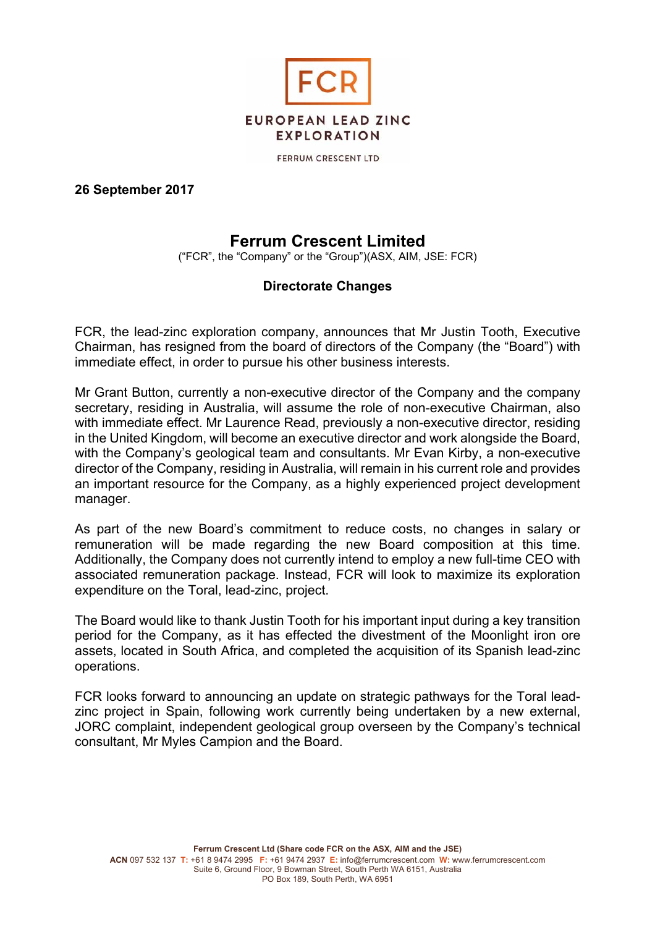

FERRUM CRESCENT LTD

**26 September 2017** 

## **Ferrum Crescent Limited**

("FCR", the "Company" or the "Group")(ASX, AIM, JSE: FCR)

## **Directorate Changes**

FCR, the lead-zinc exploration company, announces that Mr Justin Tooth, Executive Chairman, has resigned from the board of directors of the Company (the "Board") with immediate effect, in order to pursue his other business interests.

Mr Grant Button, currently a non-executive director of the Company and the company secretary, residing in Australia, will assume the role of non-executive Chairman, also with immediate effect. Mr Laurence Read, previously a non-executive director, residing in the United Kingdom, will become an executive director and work alongside the Board, with the Company's geological team and consultants. Mr Evan Kirby, a non-executive director of the Company, residing in Australia, will remain in his current role and provides an important resource for the Company, as a highly experienced project development manager.

As part of the new Board's commitment to reduce costs, no changes in salary or remuneration will be made regarding the new Board composition at this time. Additionally, the Company does not currently intend to employ a new full-time CEO with associated remuneration package. Instead, FCR will look to maximize its exploration expenditure on the Toral, lead-zinc, project.

The Board would like to thank Justin Tooth for his important input during a key transition period for the Company, as it has effected the divestment of the Moonlight iron ore assets, located in South Africa, and completed the acquisition of its Spanish lead-zinc operations.

FCR looks forward to announcing an update on strategic pathways for the Toral leadzinc project in Spain, following work currently being undertaken by a new external, JORC complaint, independent geological group overseen by the Company's technical consultant, Mr Myles Campion and the Board.